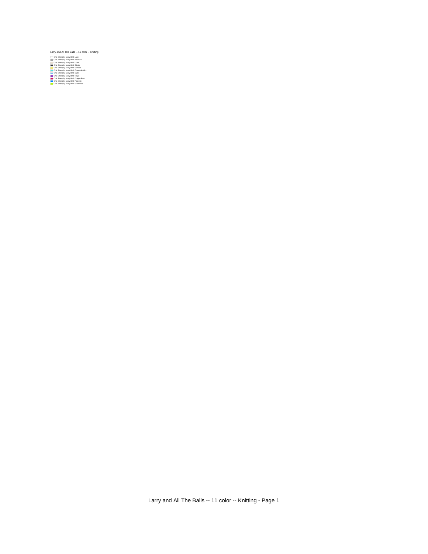| Larry and All The Balls -- 11 color -- Knitting |  |
|-------------------------------------------------|--|
|-------------------------------------------------|--|

|   | Chic Sheep by Marly Bird: Lace  |  |                                         |
|---|---------------------------------|--|-----------------------------------------|
| ٠ |                                 |  | Chic Sheep by Marly Bird: Platinum      |
|   | Chic Sheep by Marly Bird: Linen |  |                                         |
|   |                                 |  | Chic Sheep by Marly Bird; Stiletto      |
|   |                                 |  | Chic Sheep by Marly Bird: Mimosa        |
|   |                                 |  | Chic Sheep by Marly Bird: Creme de Mint |
|   | Chic Sheep by Marly Bird: Suite |  |                                         |
|   | Chic Sheep by Marly Bird: Royal |  |                                         |
|   |                                 |  | Chic Sheep by Marly Bird: Dragon Fruit  |
|   |                                 |  | Chic Sheep by Marly Bird: Poolside      |
|   |                                 |  | Chic Sheep by Marly Bird: Green Tea     |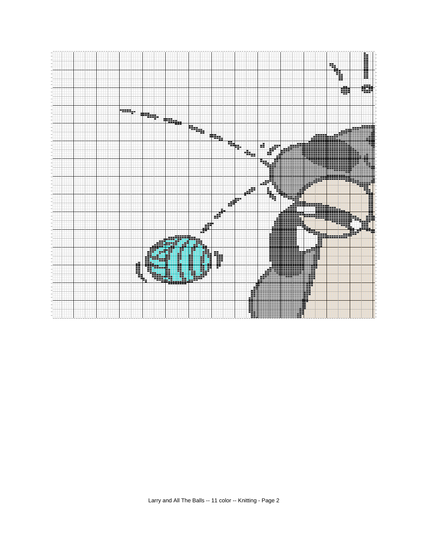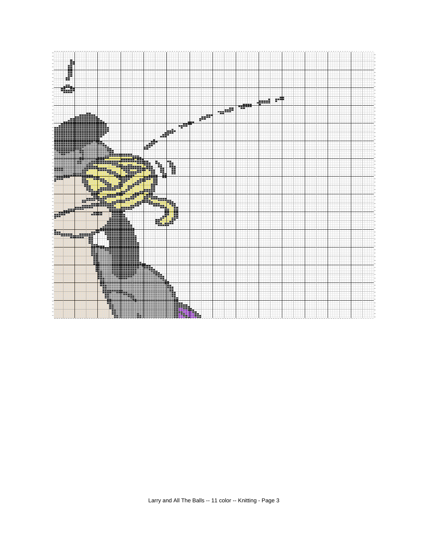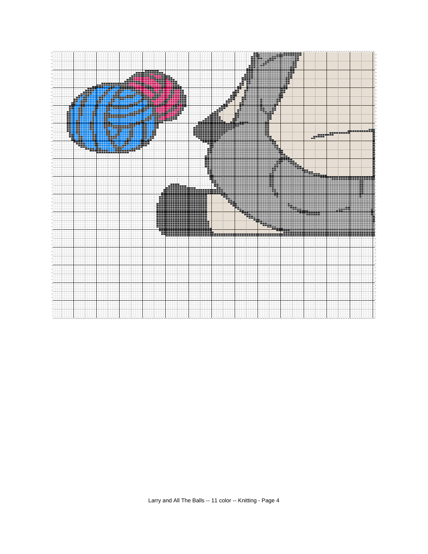